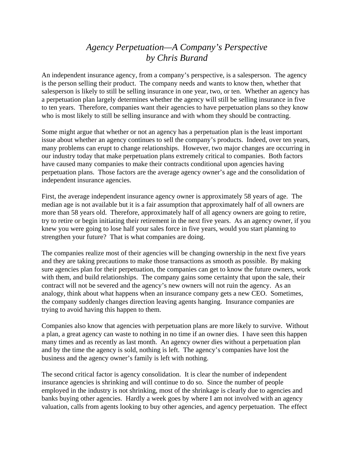## *Agency Perpetuation—A Company's Perspective by Chris Burand*

An independent insurance agency, from a company's perspective, is a salesperson. The agency is the person selling their product. The company needs and wants to know then, whether that salesperson is likely to still be selling insurance in one year, two, or ten. Whether an agency has a perpetuation plan largely determines whether the agency will still be selling insurance in five to ten years. Therefore, companies want their agencies to have perpetuation plans so they know who is most likely to still be selling insurance and with whom they should be contracting.

Some might argue that whether or not an agency has a perpetuation plan is the least important issue about whether an agency continues to sell the company's products. Indeed, over ten years, many problems can erupt to change relationships. However, two major changes are occurring in our industry today that make perpetuation plans extremely critical to companies. Both factors have caused many companies to make their contracts conditional upon agencies having perpetuation plans. Those factors are the average agency owner's age and the consolidation of independent insurance agencies.

First, the average independent insurance agency owner is approximately 58 years of age. The median age is not available but it is a fair assumption that approximately half of all owners are more than 58 years old. Therefore, approximately half of all agency owners are going to retire, try to retire or begin initiating their retirement in the next five years. As an agency owner, if you knew you were going to lose half your sales force in five years, would you start planning to strengthen your future? That is what companies are doing.

The companies realize most of their agencies will be changing ownership in the next five years and they are taking precautions to make those transactions as smooth as possible. By making sure agencies plan for their perpetuation, the companies can get to know the future owners, work with them, and build relationships. The company gains some certainty that upon the sale, their contract will not be severed and the agency's new owners will not ruin the agency. As an analogy, think about what happens when an insurance company gets a new CEO. Sometimes, the company suddenly changes direction leaving agents hanging. Insurance companies are trying to avoid having this happen to them.

Companies also know that agencies with perpetuation plans are more likely to survive. Without a plan, a great agency can waste to nothing in no time if an owner dies. I have seen this happen many times and as recently as last month. An agency owner dies without a perpetuation plan and by the time the agency is sold, nothing is left. The agency's companies have lost the business and the agency owner's family is left with nothing.

The second critical factor is agency consolidation. It is clear the number of independent insurance agencies is shrinking and will continue to do so. Since the number of people employed in the industry is not shrinking, most of the shrinkage is clearly due to agencies and banks buying other agencies. Hardly a week goes by where I am not involved with an agency valuation, calls from agents looking to buy other agencies, and agency perpetuation. The effect